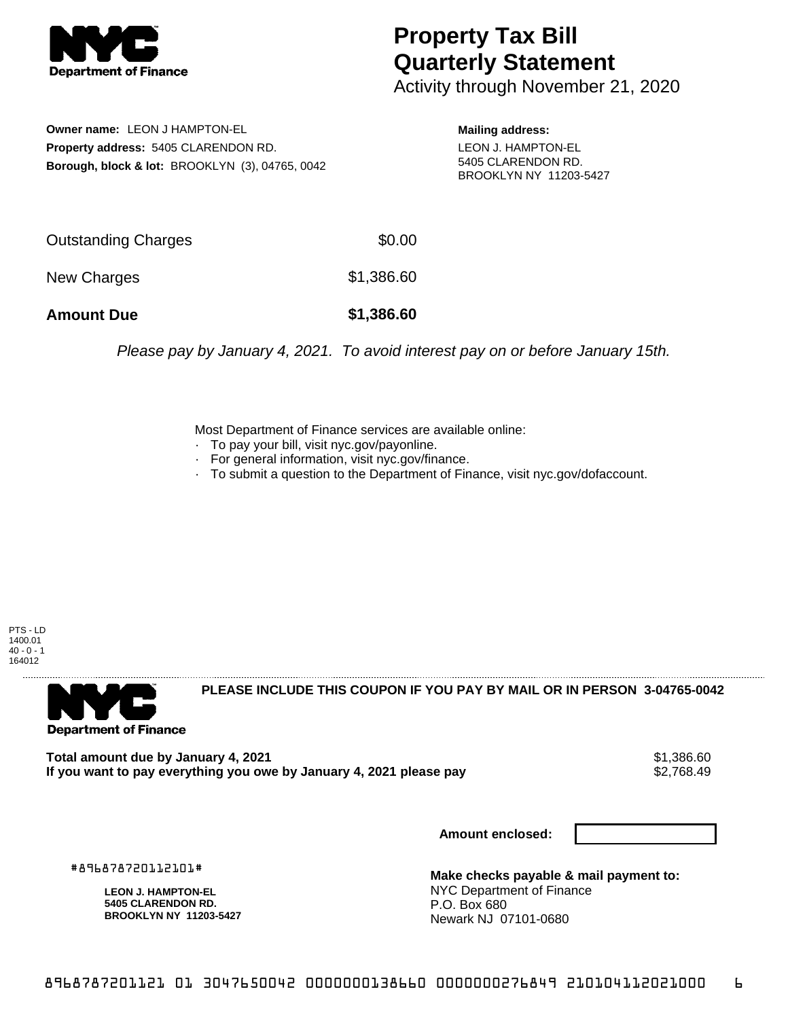

## **Property Tax Bill Quarterly Statement**

Activity through November 21, 2020

**Owner name:** LEON J HAMPTON-EL **Property address:** 5405 CLARENDON RD. **Borough, block & lot:** BROOKLYN (3), 04765, 0042

**Mailing address:** LEON J. HAMPTON-EL 5405 CLARENDON RD. BROOKLYN NY 11203-5427

| <b>Amount Due</b>   | \$1,386.60 |
|---------------------|------------|
| New Charges         | \$1,386.60 |
| Outstanding Charges | \$0.00     |

Please pay by January 4, 2021. To avoid interest pay on or before January 15th.

Most Department of Finance services are available online:

- · To pay your bill, visit nyc.gov/payonline.
- For general information, visit nyc.gov/finance.
- · To submit a question to the Department of Finance, visit nyc.gov/dofaccount.

PTS - LD 1400.01  $40 - 0 - 1$ 164012



**PLEASE INCLUDE THIS COUPON IF YOU PAY BY MAIL OR IN PERSON 3-04765-0042** 

**Total amount due by January 4, 2021**<br>If you want to pay everything you owe by January 4, 2021 please pay **show that the set of the set of the set of** If you want to pay everything you owe by January 4, 2021 please pay

**Amount enclosed:**

#896878720112101#

**LEON J. HAMPTON-EL 5405 CLARENDON RD. BROOKLYN NY 11203-5427**

**Make checks payable & mail payment to:** NYC Department of Finance P.O. Box 680 Newark NJ 07101-0680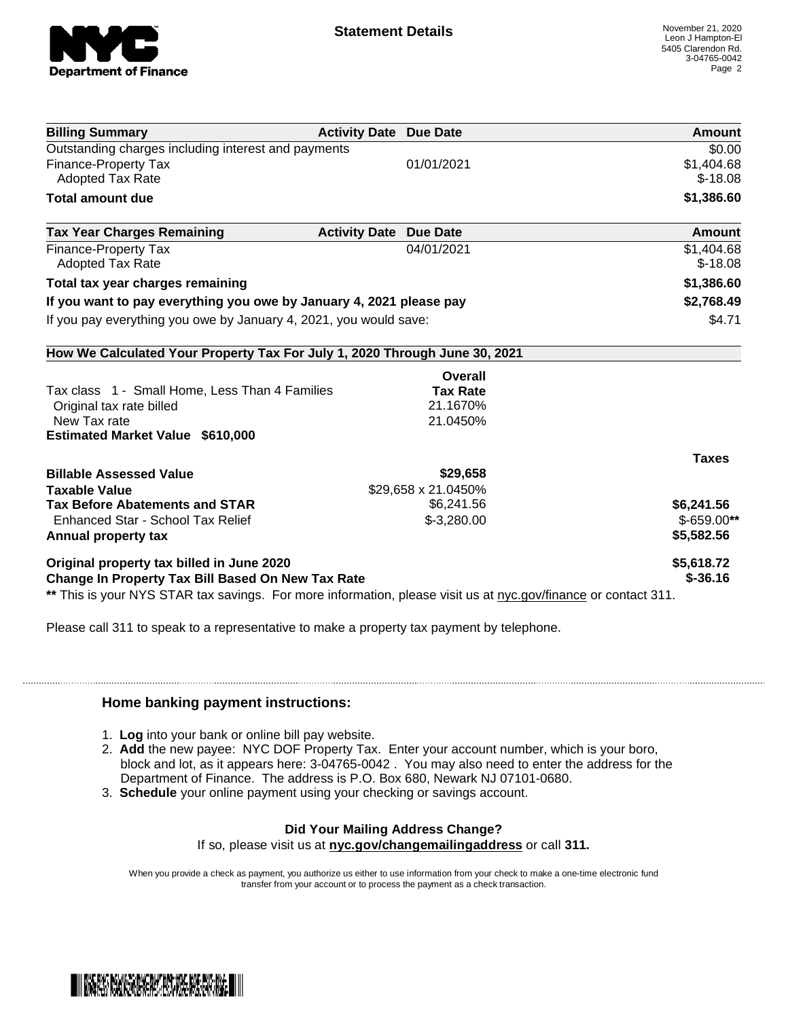

| <b>Billing Summary</b>                                                                                         | <b>Activity Date Due Date</b> | Amount        |
|----------------------------------------------------------------------------------------------------------------|-------------------------------|---------------|
| Outstanding charges including interest and payments                                                            |                               | \$0.00        |
| <b>Finance-Property Tax</b>                                                                                    | 01/01/2021                    | \$1,404.68    |
| <b>Adopted Tax Rate</b>                                                                                        |                               | $$-18.08$     |
| <b>Total amount due</b>                                                                                        |                               | \$1,386.60    |
| <b>Tax Year Charges Remaining</b>                                                                              | <b>Activity Date Due Date</b> | <b>Amount</b> |
| <b>Finance-Property Tax</b>                                                                                    | 04/01/2021                    | \$1,404.68    |
| <b>Adopted Tax Rate</b>                                                                                        |                               | $$-18.08$     |
| Total tax year charges remaining                                                                               |                               | \$1,386.60    |
| If you want to pay everything you owe by January 4, 2021 please pay                                            |                               | \$2,768.49    |
| If you pay everything you owe by January 4, 2021, you would save:                                              |                               | \$4.71        |
| How We Calculated Your Property Tax For July 1, 2020 Through June 30, 2021                                     |                               |               |
|                                                                                                                | Overall                       |               |
| Tax class 1 - Small Home, Less Than 4 Families                                                                 | <b>Tax Rate</b>               |               |
| Original tax rate billed                                                                                       | 21.1670%                      |               |
| New Tax rate                                                                                                   | 21.0450%                      |               |
| <b>Estimated Market Value \$610,000</b>                                                                        |                               |               |
|                                                                                                                |                               | <b>Taxes</b>  |
| <b>Billable Assessed Value</b>                                                                                 | \$29,658                      |               |
| <b>Taxable Value</b>                                                                                           | \$29,658 x 21.0450%           |               |
| <b>Tax Before Abatements and STAR</b>                                                                          | \$6,241.56                    | \$6,241.56    |
| Enhanced Star - School Tax Relief                                                                              | $$-3,280.00$                  | $$-659.00**$  |
| Annual property tax                                                                                            |                               | \$5,582.56    |
| Original property tax billed in June 2020                                                                      |                               | \$5,618.72    |
| Change In Property Tax Bill Based On New Tax Rate                                                              |                               | $$ -36.16$    |
| ** This is your NYS STAR tax savings. For more information, please visit us at nyc.gov/finance or contact 311. |                               |               |

Please call 311 to speak to a representative to make a property tax payment by telephone.

## **Home banking payment instructions:**

- 1. **Log** into your bank or online bill pay website.
- 2. **Add** the new payee: NYC DOF Property Tax. Enter your account number, which is your boro, block and lot, as it appears here: 3-04765-0042 . You may also need to enter the address for the Department of Finance. The address is P.O. Box 680, Newark NJ 07101-0680.
- 3. **Schedule** your online payment using your checking or savings account.

## **Did Your Mailing Address Change?**

If so, please visit us at **nyc.gov/changemailingaddress** or call **311.**

When you provide a check as payment, you authorize us either to use information from your check to make a one-time electronic fund transfer from your account or to process the payment as a check transaction.